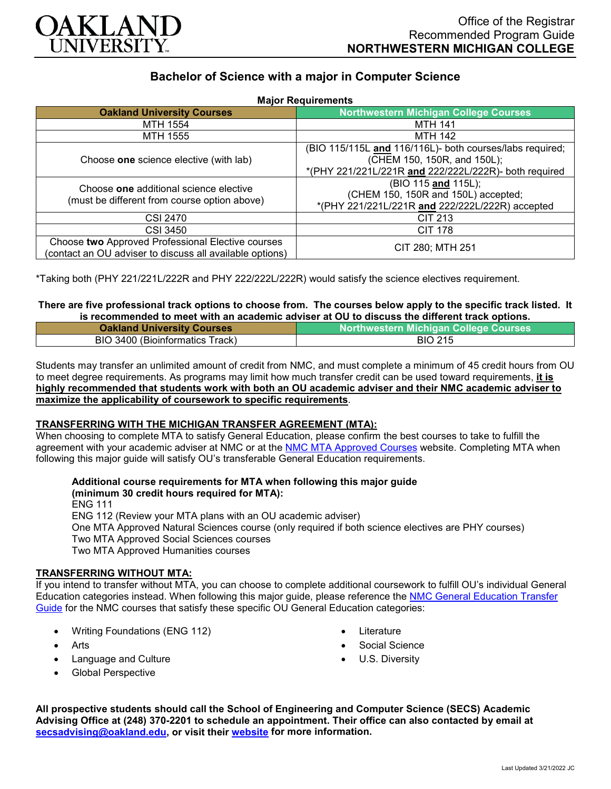

# **Bachelor of Science with a major in Computer Science**

| <b>Major Requirements</b>                                                                                     |                                                                                                                                                                         |
|---------------------------------------------------------------------------------------------------------------|-------------------------------------------------------------------------------------------------------------------------------------------------------------------------|
| <b>Oakland University Courses</b>                                                                             | <b>Northwestern Michigan College Courses</b>                                                                                                                            |
| MTH 1554                                                                                                      | <b>MTH 141</b>                                                                                                                                                          |
| <b>MTH 1555</b>                                                                                               | <b>MTH 142</b>                                                                                                                                                          |
| Choose one science elective (with lab)<br>Choose one additional science elective                              | (BIO 115/115L and 116/116L)- both courses/labs required;<br>(CHEM 150, 150R, and 150L);<br>*(PHY 221/221L/221R and 222/222L/222R)- both required<br>(BIO 115 and 115L); |
| (must be different from course option above)                                                                  | (CHEM 150, 150R and 150L) accepted;<br>*(PHY 221/221L/221R and 222/222L/222R) accepted                                                                                  |
| CSI 2470                                                                                                      | CIT 213                                                                                                                                                                 |
| <b>CSI 3450</b>                                                                                               | <b>CIT 178</b>                                                                                                                                                          |
| Choose two Approved Professional Elective courses<br>(contact an OU adviser to discuss all available options) | CIT 280; MTH 251                                                                                                                                                        |

\*Taking both (PHY 221/221L/222R and PHY 222/222L/222R) would satisfy the science electives requirement.

### **There are five professional track options to choose from. The courses below apply to the specific track listed. It is recommended to meet with an academic adviser at OU to discuss the different track options.**

| <b>Oakland University Courses</b> | <b>Northwestern Michigan College Courses</b> |
|-----------------------------------|----------------------------------------------|
| BIO 3400 (Bioinformatics Track)   | <b>BIO 215</b>                               |

Students may transfer an unlimited amount of credit from NMC, and must complete a minimum of 45 credit hours from OU to meet degree requirements. As programs may limit how much transfer credit can be used toward requirements, **it is highly recommended that students work with both an OU academic adviser and their NMC academic adviser to maximize the applicability of coursework to specific requirements**.

### **TRANSFERRING WITH THE MICHIGAN TRANSFER AGREEMENT (MTA):**

When choosing to complete MTA to satisfy General Education, please confirm the best courses to take to fulfill the agreement with your academic adviser at NMC or at the [NMC MTA Approved Courses](https://www.nmc.edu/programs/course-descriptions/group-1-courses-for-mta.pdf) website. Completing MTA when following this major guide will satisfy OU's transferable General Education requirements.

# **Additional course requirements for MTA when following this major guide (minimum 30 credit hours required for MTA):**

ENG 111

ENG 112 (Review your MTA plans with an OU academic adviser)

One MTA Approved Natural Sciences course (only required if both science electives are PHY courses) Two MTA Approved Social Sciences courses

Two MTA Approved Humanities courses

## **TRANSFERRING WITHOUT MTA:**

If you intend to transfer without MTA, you can choose to complete additional coursework to fulfill OU's individual General Education categories instead. When following this major guide, please reference the [NMC General Education Transfer](https://www.oakland.edu/Assets/Oakland/program-guides/northwestern-michigan-college/university-general-education-requirements/Northwestern%20Gen%20Ed.pdf)  [Guide](https://www.oakland.edu/Assets/Oakland/program-guides/northwestern-michigan-college/university-general-education-requirements/Northwestern%20Gen%20Ed.pdf) for the NMC courses that satisfy these specific OU General Education categories:

- Writing Foundations (ENG 112)
- **Arts**
- Language and Culture
- Global Perspective
- **Literature**
- Social Science
- U.S. Diversity

**All prospective students should call the School of Engineering and Computer Science (SECS) Academic Advising Office at (248) 370-2201 to schedule an appointment. Their office can also contacted by email at [secsadvising@oakland.edu,](mailto:secsadvising@oakland.edu) or visit their [website](https://wwwp.oakland.edu/secs/advising/) for more information.**